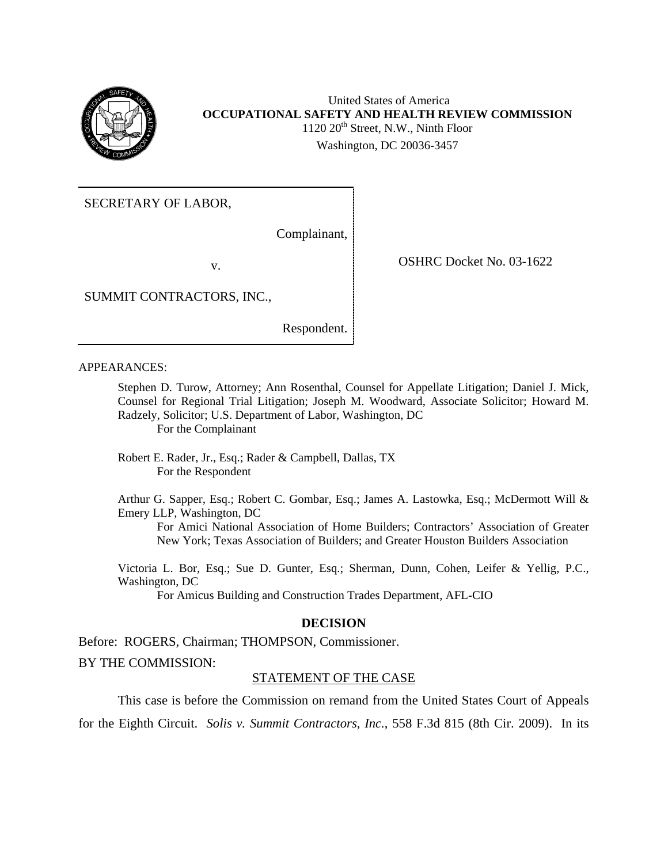

United States of America **OCCUPATIONAL SAFETY AND HEALTH REVIEW COMMISSION**   $1120 20<sup>th</sup> Street, N.W., Ninth Floor$ Washington, DC 20036-3457

SECRETARY OF LABOR,

Complainant,

v. COSHRC Docket No. 03-1622

SUMMIT CONTRACTORS, INC.,

Respondent.

APPEARANCES:

Stephen D. Turow, Attorney; Ann Rosenthal, Counsel for Appellate Litigation; Daniel J. Mick, Counsel for Regional Trial Litigation; Joseph M. Woodward, Associate Solicitor; Howard M. Radzely, Solicitor; U.S. Department of Labor, Washington, DC For the Complainant

Robert E. Rader, Jr., Esq.; Rader & Campbell, Dallas, TX For the Respondent

Arthur G. Sapper, Esq.; Robert C. Gombar, Esq.; James A. Lastowka, Esq.; McDermott Will & Emery LLP, Washington, DC

For Amici National Association of Home Builders; Contractors' Association of Greater New York; Texas Association of Builders; and Greater Houston Builders Association

Victoria L. Bor, Esq.; Sue D. Gunter, Esq.; Sherman, Dunn, Cohen, Leifer & Yellig, P.C., Washington, DC

For Amicus Building and Construction Trades Department, AFL-CIO

## **DECISION**

Before: ROGERS, Chairman; THOMPSON, Commissioner.

# BY THE COMMISSION:

## STATEMENT OF THE CASE

This case is before the Commission on remand from the United States Court of Appeals for the Eighth Circuit. *Solis v. Summit Contractors, Inc.*, 558 F.3d 815 (8th Cir. 2009). In its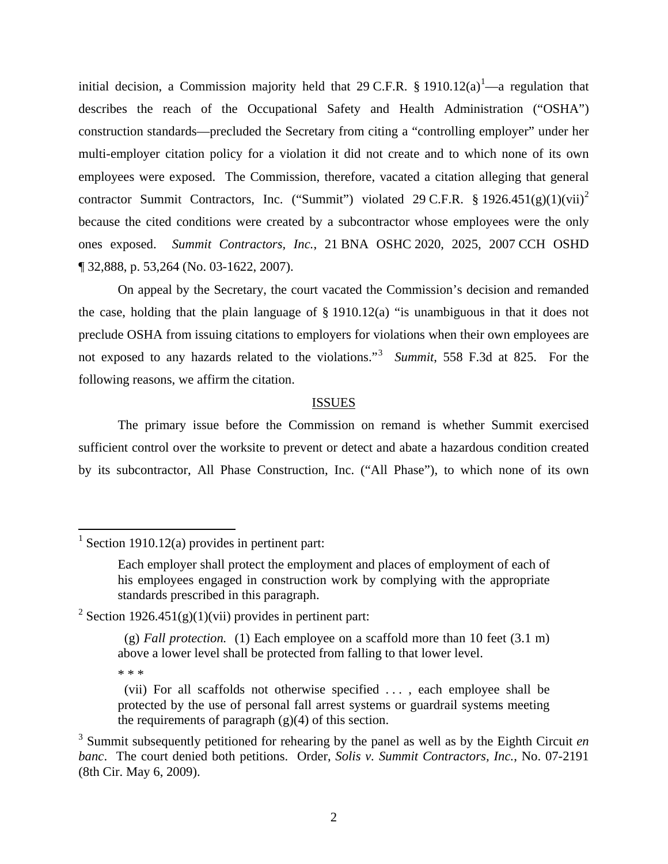initial decision, a Commission majority held that 29 C.F.R.  $\S 1910.12(a)^{1}$  $\S 1910.12(a)^{1}$  $\S 1910.12(a)^{1}$ —a regulation that describes the reach of the Occupational Safety and Health Administration ("OSHA") construction standards—precluded the Secretary from citing a "controlling employer" under her multi-employer citation policy for a violation it did not create and to which none of its own employees were exposed. The Commission, therefore, vacated a citation alleging that general contractor Summit Contractors, Inc. ("Summit") violated 29 C.F.R. § 1926.451(g)(1)(vii)<sup>2</sup> because the cited conditions were created by a subcontractor whose employees were the only ones exposed. *Summit Contractors, Inc.*, 21 BNA OSHC 2020, 2025, 2007 CCH OSHD ¶ 32,888, p. 53,264 (No. 03-1622, 2007).

 not exposed to any hazards related to the violations."[3](#page-1-2) *Summit*, 558 F.3d at 825. For the On appeal by the Secretary, the court vacated the Commission's decision and remanded the case, holding that the plain language of § 1910.12(a) "is unambiguous in that it does not preclude OSHA from issuing citations to employers for violations when their own employees are following reasons, we affirm the citation.

#### ISSUES

The primary issue before the Commission on remand is whether Summit exercised sufficient control over the worksite to prevent or detect and abate a hazardous condition created by its subcontractor, All Phase Construction, Inc. ("All Phase"), to which none of its own

<span id="page-1-1"></span><sup>2</sup> Section 1926.451(g)(1)(vii) provides in pertinent part:

(g) *Fall protection.* (1) Each employee on a scaffold more than 10 feet (3.1 m) above a lower level shall be protected from falling to that lower level.

\* \* \*

(vii) For all scaffolds not otherwise specified . . . , each employee shall be protected by the use of personal fall arrest systems or guardrail systems meeting the requirements of paragraph  $(g)(4)$  of this section.

<span id="page-1-0"></span> 1 Section 1910.12(a) provides in pertinent part:

Each employer shall protect the employment and places of employment of each of his employees engaged in construction work by complying with the appropriate standards prescribed in this paragraph.

<span id="page-1-2"></span><sup>3</sup> Summit subsequently petitioned for rehearing by the panel as well as by the Eighth Circuit *en banc*. The court denied both petitions. Order, *Solis v. Summit Contractors, Inc.*, No. 07-2191 (8th Cir. May 6, 2009).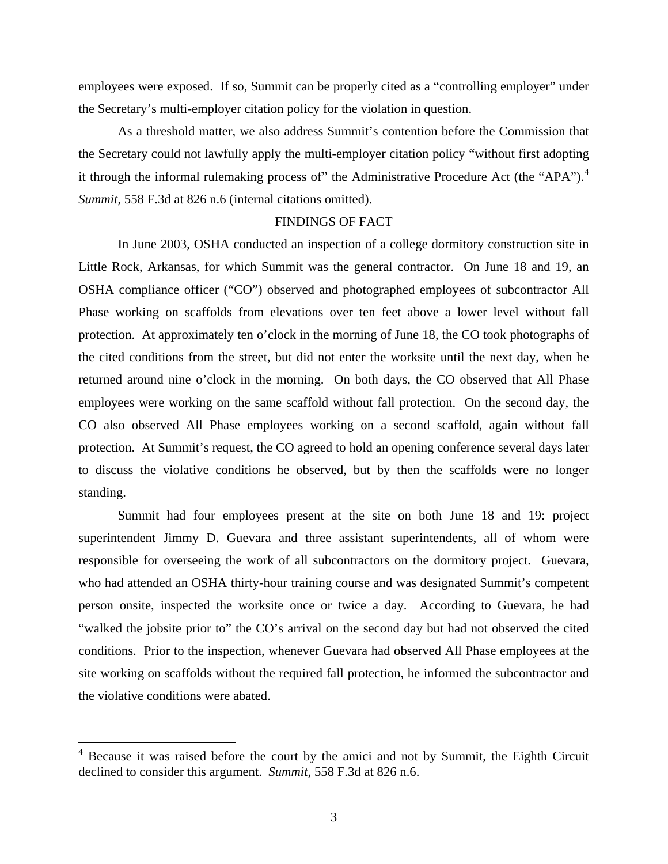employees were exposed. If so, Summit can be properly cited as a "controlling employer" under the Secretary's multi-employer citation policy for the violation in question.

it through the informal rulemaking process of" the Administrative Procedure Act (the "APA").<sup>4</sup> As a threshold matter, we also address Summit's contention before the Commission that the Secretary could not lawfully apply the multi-employer citation policy "without first adopting *Summit*, 558 F.3d at 826 n.6 (internal citations omitted).

#### FINDINGS OF FACT

In June 2003, OSHA conducted an inspection of a college dormitory construction site in Little Rock, Arkansas, for which Summit was the general contractor. On June 18 and 19, an OSHA compliance officer ("CO") observed and photographed employees of subcontractor All Phase working on scaffolds from elevations over ten feet above a lower level without fall protection. At approximately ten o'clock in the morning of June 18, the CO took photographs of the cited conditions from the street, but did not enter the worksite until the next day, when he returned around nine o'clock in the morning. On both days, the CO observed that All Phase employees were working on the same scaffold without fall protection. On the second day, the CO also observed All Phase employees working on a second scaffold, again without fall protection. At Summit's request, the CO agreed to hold an opening conference several days later to discuss the violative conditions he observed, but by then the scaffolds were no longer standing.

Summit had four employees present at the site on both June 18 and 19: project superintendent Jimmy D. Guevara and three assistant superintendents, all of whom were responsible for overseeing the work of all subcontractors on the dormitory project. Guevara, who had attended an OSHA thirty-hour training course and was designated Summit's competent person onsite, inspected the worksite once or twice a day. According to Guevara, he had "walked the jobsite prior to" the CO's arrival on the second day but had not observed the cited conditions. Prior to the inspection, whenever Guevara had observed All Phase employees at the site working on scaffolds without the required fall protection, he informed the subcontractor and the violative conditions were abated.

<span id="page-2-0"></span><sup>&</sup>lt;sup>4</sup> Because it was raised before the court by the amici and not by Summit, the Eighth Circuit declined to consider this argument. *Summit*, 558 F.3d at 826 n.6.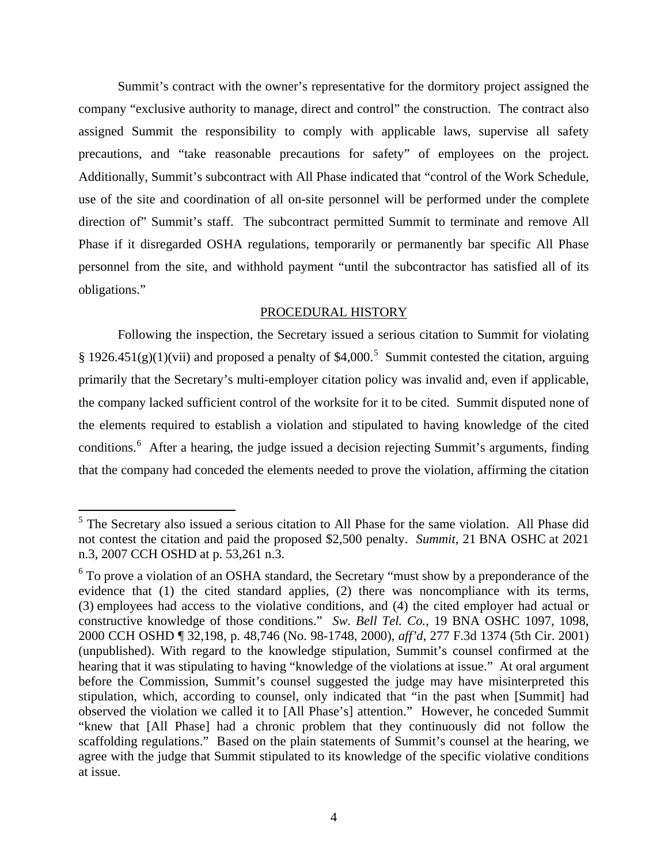precautions, and "take reasonable precautions for safety" of employees on the project. Additionally, Summit's subcontract with All Phase indicated that "control of the Work Schedule, Summit's contract with the owner's representative for the dormitory project assigned the company "exclusive authority to manage, direct and control" the construction. The contract also assigned Summit the responsibility to comply with applicable laws, supervise all safety use of the site and coordination of all on-site personnel will be performed under the complete direction of" Summit's staff. The subcontract permitted Summit to terminate and remove All Phase if it disregarded OSHA regulations, temporarily or permanently bar specific All Phase personnel from the site, and withhold payment "until the subcontractor has satisfied all of its obligations."

### PROCEDURAL HISTORY

Following the inspection, the Secretary issued a serious citation to Summit for violating § 1926.4[5](#page-3-0)1(g)(1)(vii) and proposed a penalty of \$4,000.<sup>5</sup> Summit contested the citation, arguing primarily that the Secretary's multi-employer citation policy was invalid and, even if applicable, the company lacked sufficient control of the worksite for it to be cited. Summit disputed none of the elements required to establish a violation and stipulated to having knowledge of the cited conditions.<sup>[6](#page-3-1)</sup> After a hearing, the judge issued a decision rejecting Summit's arguments, finding that the company had conceded the elements needed to prove the violation, affirming the citation

<span id="page-3-0"></span><sup>&</sup>lt;sup>5</sup> The Secretary also issued a serious citation to All Phase for the same violation. All Phase did not contest the citation and paid the proposed \$2,500 penalty. *Summit*, 21 BNA OSHC at 2021 n.3, 2007 CCH OSHD at p. 53,261 n.3.

<span id="page-3-1"></span> constructive knowledge of those conditions." *Sw. Bell Tel. Co.*, 19 BNA OSHC 1097, 1098, <sup>6</sup> To prove a violation of an OSHA standard, the Secretary "must show by a preponderance of the evidence that (1) the cited standard applies, (2) there was noncompliance with its terms, (3) employees had access to the violative conditions, and (4) the cited employer had actual or 2000 CCH OSHD ¶ 32,198, p. 48,746 (No. 98-1748, 2000), *aff'd*, 277 F.3d 1374 (5th Cir. 2001) (unpublished). With regard to the knowledge stipulation, Summit's counsel confirmed at the hearing that it was stipulating to having "knowledge of the violations at issue." At oral argument before the Commission, Summit's counsel suggested the judge may have misinterpreted this stipulation, which, according to counsel, only indicated that "in the past when [Summit] had observed the violation we called it to [All Phase's] attention." However, he conceded Summit "knew that [All Phase] had a chronic problem that they continuously did not follow the scaffolding regulations." Based on the plain statements of Summit's counsel at the hearing, we agree with the judge that Summit stipulated to its knowledge of the specific violative conditions at issue.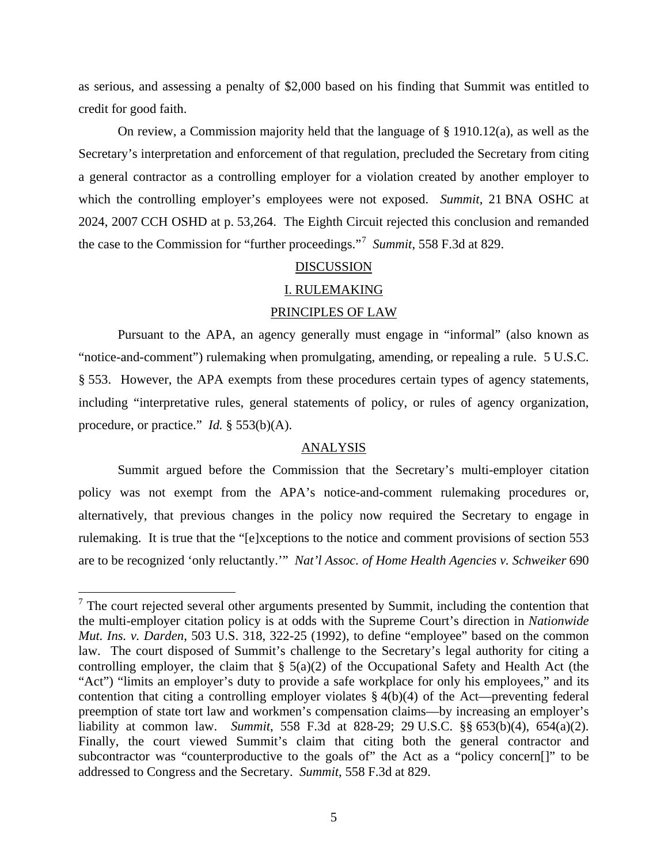as serious, and assessing a penalty of \$2,000 based on his finding that Summit was entitled to credit for good faith.

 the case to the Commission for "further proceedings."[7](#page-4-0) *Summit*, 558 F.3d at 829. On review, a Commission majority held that the language of § 1910.12(a), as well as the Secretary's interpretation and enforcement of that regulation, precluded the Secretary from citing a general contractor as a controlling employer for a violation created by another employer to which the controlling employer's employees were not exposed. *Summit*, 21 BNA OSHC at 2024, 2007 CCH OSHD at p. 53,264. The Eighth Circuit rejected this conclusion and remanded

## **DISCUSSION**

#### I. RULEMAKING

#### PRINCIPLES OF LAW

Pursuant to the APA, an agency generally must engage in "informal" (also known as "notice-and-comment") rulemaking when promulgating, amending, or repealing a rule. 5 U.S.C. § 553. However, the APA exempts from these procedures certain types of agency statements, including "interpretative rules, general statements of policy, or rules of agency organization, procedure, or practice." *Id.* § 553(b)(A).

#### ANALYSIS

Summit argued before the Commission that the Secretary's multi-employer citation policy was not exempt from the APA's notice-and-comment rulemaking procedures or, alternatively, that previous changes in the policy now required the Secretary to engage in rulemaking. It is true that the "[e]xceptions to the notice and comment provisions of section 553 are to be recognized 'only reluctantly.'" *Nat'l Assoc. of Home Health Agencies v. Schweiker* 690

<span id="page-4-0"></span><sup>&</sup>lt;sup>7</sup> The court rejected several other arguments presented by Summit, including the contention that the multi-employer citation policy is at odds with the Supreme Court's direction in *Nationwide Mut. Ins. v. Darden*, 503 U.S. 318, 322-25 (1992), to define "employee" based on the common law. The court disposed of Summit's challenge to the Secretary's legal authority for citing a controlling employer, the claim that  $\S$  5(a)(2) of the Occupational Safety and Health Act (the "Act") "limits an employer's duty to provide a safe workplace for only his employees," and its contention that citing a controlling employer violates § 4(b)(4) of the Act—preventing federal preemption of state tort law and workmen's compensation claims—by increasing an employer's liability at common law. *Summit*, 558 F.3d at 828-29; 29 U.S.C. §§ 653(b)(4), 654(a)(2). Finally, the court viewed Summit's claim that citing both the general contractor and subcontractor was "counterproductive to the goals of" the Act as a "policy concern<sup>[]"</sup> to be addressed to Congress and the Secretary. *Summit*, 558 F.3d at 829.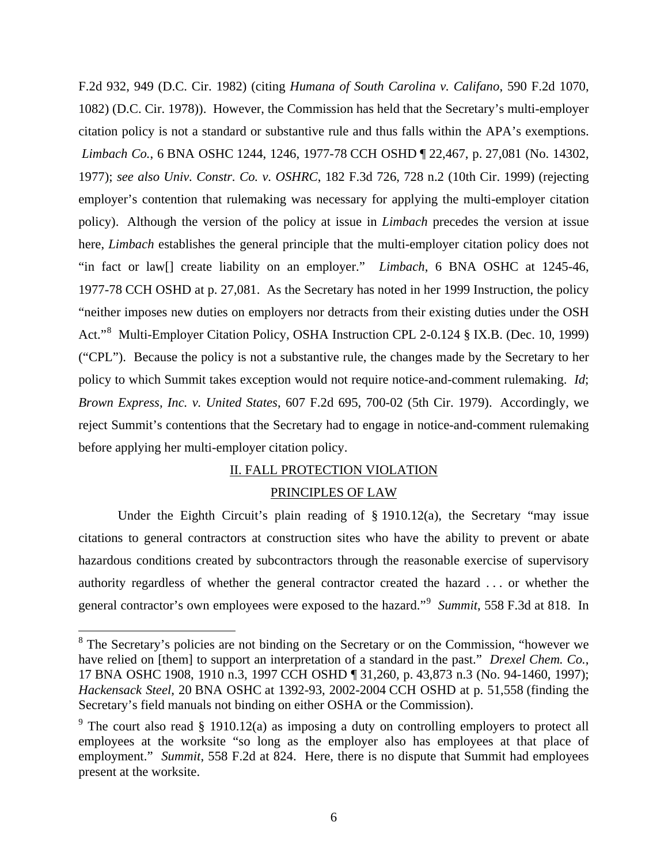F.2d 932, 949 (D.C. Cir. 1982) (citing *Humana of South Carolina v. Califano*, 590 F.2d 1070, 1082) (D.C. Cir. 1978)). However, the Commission has held that the Secretary's multi-employer citation policy is not a standard or substantive rule and thus falls within the APA's exemptions. *Limbach Co.*, 6 BNA OSHC 1244, 1246, 1977-78 CCH OSHD ¶ 22,467, p. 27,081 (No. 14302, 1977); *see also Univ. Constr. Co. v. OSHRC*, 182 F.3d 726, 728 n.2 (10th Cir. 1999) (rejecting employer's contention that rulemaking was necessary for applying the multi-employer citation policy). Although the version of the policy at issue in *Limbach* precedes the version at issue here, *Limbach* establishes the general principle that the multi-employer citation policy does not "in fact or law[] create liability on an employer." *Limbach*, 6 BNA OSHC at 1245-46, 1977-78 CCH OSHD at p. 27,081. As the Secretary has noted in her 1999 Instruction, the policy "neither imposes new duties on employers nor detracts from their existing duties under the OSH Act."<sup>[8](#page-5-0)</sup> Multi-Employer Citation Policy, OSHA Instruction CPL 2-0.124 § IX.B. (Dec. 10, 1999) ("CPL"). Because the policy is not a substantive rule, the changes made by the Secretary to her policy to which Summit takes exception would not require notice-and-comment rulemaking. *Id*; *Brown Express, Inc. v. United States*, 607 F.2d 695, 700-02 (5th Cir. 1979). Accordingly, we reject Summit's contentions that the Secretary had to engage in notice-and-comment rulemaking before applying her multi-employer citation policy.

### II. FALL PROTECTION VIOLATION

#### PRINCIPLES OF LAW

 general contractor's own employees were exposed to the hazard."[9](#page-5-1) *Summit*, 558 F.3d at 818. In Under the Eighth Circuit's plain reading of § 1910.12(a), the Secretary "may issue citations to general contractors at construction sites who have the ability to prevent or abate hazardous conditions created by subcontractors through the reasonable exercise of supervisory authority regardless of whether the general contractor created the hazard . . . or whether the

<span id="page-5-0"></span> $8$  The Secretary's policies are not binding on the Secretary or on the Commission, "however we have relied on [them] to support an interpretation of a standard in the past." *Drexel Chem. Co.*, 17 BNA OSHC 1908, 1910 n.3, 1997 CCH OSHD ¶ 31,260, p. 43,873 n.3 (No. 94-1460, 1997); *Hackensack Steel*, 20 BNA OSHC at 1392-93, 2002-2004 CCH OSHD at p. 51,558 (finding the Secretary's field manuals not binding on either OSHA or the Commission).

<span id="page-5-1"></span><sup>&</sup>lt;sup>9</sup> The court also read  $\S$  1910.12(a) as imposing a duty on controlling employers to protect all employees at the worksite "so long as the employer also has employees at that place of employment." *Summit*, 558 F.2d at 824. Here, there is no dispute that Summit had employees present at the worksite.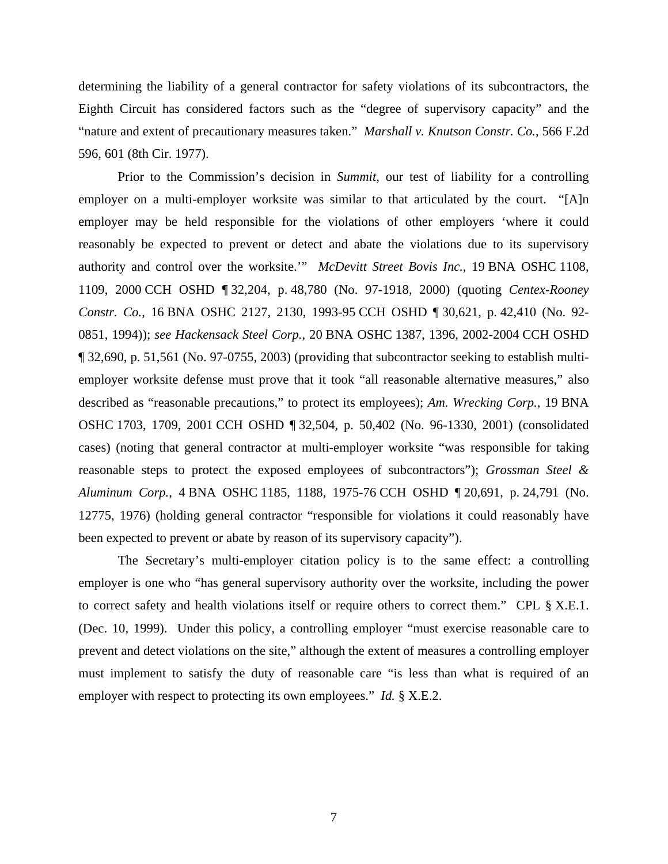determining the liability of a general contractor for safety violations of its subcontractors, the Eighth Circuit has considered factors such as the "degree of supervisory capacity" and the "nature and extent of precautionary measures taken." *Marshall v. Knutson Constr. Co.*, 566 F.2d 596, 601 (8th Cir. 1977).

Prior to the Commission's decision in *Summit*, our test of liability for a controlling employer on a multi-employer worksite was similar to that articulated by the court. "[A]n employer may be held responsible for the violations of other employers 'where it could reasonably be expected to prevent or detect and abate the violations due to its supervisory authority and control over the worksite.'" *McDevitt Street Bovis Inc.*, 19 BNA OSHC 1108, 1109, 2000 CCH OSHD ¶ 32,204, p. 48,780 (No. 97-1918, 2000) (quoting *Centex-Rooney Constr. Co.*, 16 BNA OSHC 2127, 2130, 1993-95 CCH OSHD ¶ 30,621, p. 42,410 (No. 92 0851, 1994)); *see Hackensack Steel Corp.*, 20 BNA OSHC 1387, 1396, 2002-2004 CCH OSHD ¶ 32,690, p. 51,561 (No. 97-0755, 2003) (providing that subcontractor seeking to establish multiemployer worksite defense must prove that it took "all reasonable alternative measures," also described as "reasonable precautions," to protect its employees); *Am. Wrecking Corp.*, 19 BNA OSHC 1703, 1709, 2001 CCH OSHD ¶ 32,504, p. 50,402 (No. 96-1330, 2001) (consolidated cases) (noting that general contractor at multi-employer worksite "was responsible for taking reasonable steps to protect the exposed employees of subcontractors"); *Grossman Steel & Aluminum Corp.*, 4 BNA OSHC 1185, 1188, 1975-76 CCH OSHD ¶ 20,691, p. 24,791 (No. 12775, 1976) (holding general contractor "responsible for violations it could reasonably have been expected to prevent or abate by reason of its supervisory capacity").

The Secretary's multi-employer citation policy is to the same effect: a controlling employer is one who "has general supervisory authority over the worksite, including the power to correct safety and health violations itself or require others to correct them." CPL § X.E.1. (Dec. 10, 1999). Under this policy, a controlling employer "must exercise reasonable care to prevent and detect violations on the site," although the extent of measures a controlling employer must implement to satisfy the duty of reasonable care "is less than what is required of an employer with respect to protecting its own employees." *Id.* § X.E.2.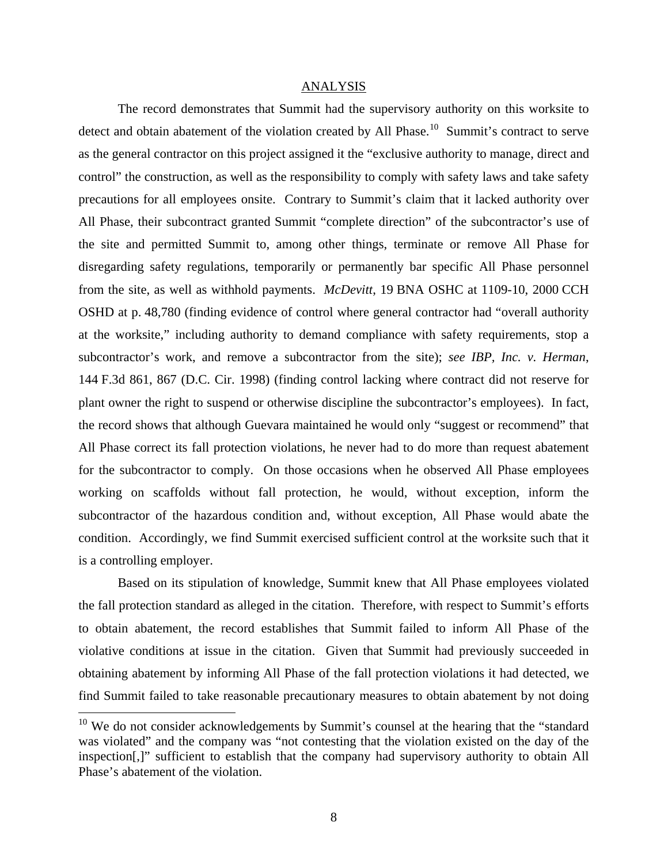#### ANALYSIS

The record demonstrates that Summit had the supervisory authority on this worksite to detect and obtain abatement of the violation created by All Phase.<sup>[10](#page-7-0)</sup> Summit's contract to serve as the general contractor on this project assigned it the "exclusive authority to manage, direct and control" the construction, as well as the responsibility to comply with safety laws and take safety precautions for all employees onsite. Contrary to Summit's claim that it lacked authority over All Phase, their subcontract granted Summit "complete direction" of the subcontractor's use of the site and permitted Summit to, among other things, terminate or remove All Phase for disregarding safety regulations, temporarily or permanently bar specific All Phase personnel from the site, as well as withhold payments. *McDevitt*, 19 BNA OSHC at 1109-10, 2000 CCH OSHD at p. 48,780 (finding evidence of control where general contractor had "overall authority at the worksite," including authority to demand compliance with safety requirements, stop a subcontractor's work, and remove a subcontractor from the site); *see IBP, Inc. v. Herman*, 144 F.3d 861, 867 (D.C. Cir. 1998) (finding control lacking where contract did not reserve for plant owner the right to suspend or otherwise discipline the subcontractor's employees). In fact, the record shows that although Guevara maintained he would only "suggest or recommend" that All Phase correct its fall protection violations, he never had to do more than request abatement for the subcontractor to comply. On those occasions when he observed All Phase employees working on scaffolds without fall protection, he would, without exception, inform the subcontractor of the hazardous condition and, without exception, All Phase would abate the condition. Accordingly, we find Summit exercised sufficient control at the worksite such that it is a controlling employer.

Based on its stipulation of knowledge, Summit knew that All Phase employees violated the fall protection standard as alleged in the citation. Therefore, with respect to Summit's efforts to obtain abatement, the record establishes that Summit failed to inform All Phase of the violative conditions at issue in the citation. Given that Summit had previously succeeded in obtaining abatement by informing All Phase of the fall protection violations it had detected, we find Summit failed to take reasonable precautionary measures to obtain abatement by not doing

<span id="page-7-0"></span> $10$  We do not consider acknowledgements by Summit's counsel at the hearing that the "standard" was violated" and the company was "not contesting that the violation existed on the day of the inspection[,]" sufficient to establish that the company had supervisory authority to obtain All Phase's abatement of the violation.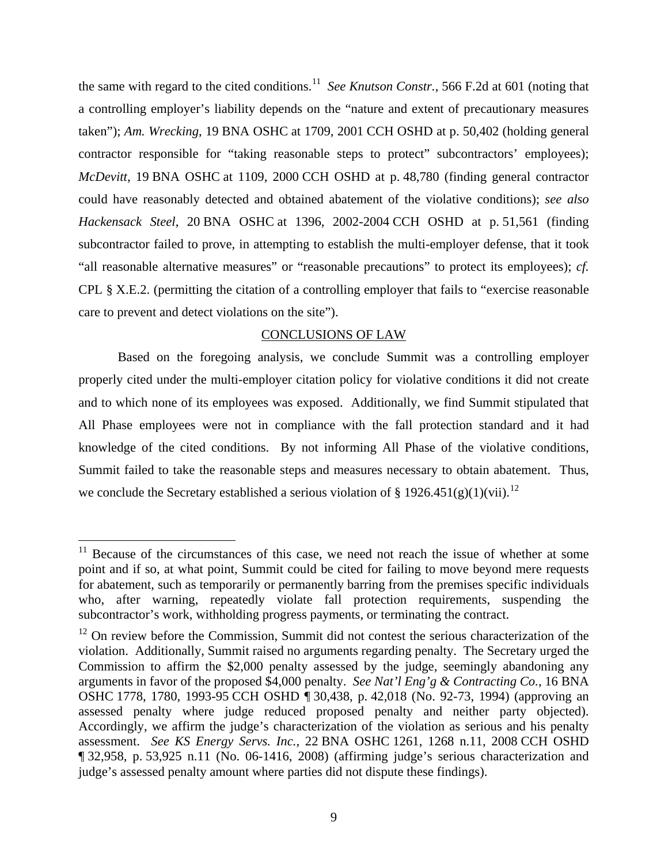the same with regard to the cited conditions.[11](#page-8-0) *See Knutson Constr.*, 566 F.2d at 601 (noting that a controlling employer's liability depends on the "nature and extent of precautionary measures taken"); *Am. Wrecking*, 19 BNA OSHC at 1709, 2001 CCH OSHD at p. 50,402 (holding general contractor responsible for "taking reasonable steps to protect" subcontractors' employees); *McDevitt*, 19 BNA OSHC at 1109, 2000 CCH OSHD at p. 48,780 (finding general contractor could have reasonably detected and obtained abatement of the violative conditions); *see also Hackensack Steel*, 20 BNA OSHC at 1396, 2002-2004 CCH OSHD at p. 51,561 (finding subcontractor failed to prove, in attempting to establish the multi-employer defense, that it took "all reasonable alternative measures" or "reasonable precautions" to protect its employees); *cf.*  CPL § X.E.2. (permitting the citation of a controlling employer that fails to "exercise reasonable care to prevent and detect violations on the site").

### CONCLUSIONS OF LAW

Based on the foregoing analysis, we conclude Summit was a controlling employer properly cited under the multi-employer citation policy for violative conditions it did not create and to which none of its employees was exposed. Additionally, we find Summit stipulated that All Phase employees were not in compliance with the fall protection standard and it had knowledge of the cited conditions. By not informing All Phase of the violative conditions, Summit failed to take the reasonable steps and measures necessary to obtain abatement. Thus, we conclude the Secretary established a serious violation of § 1926.451(g)(1)(vii).<sup>12</sup>

<span id="page-8-0"></span> $11$  Because of the circumstances of this case, we need not reach the issue of whether at some point and if so, at what point, Summit could be cited for failing to move beyond mere requests for abatement, such as temporarily or permanently barring from the premises specific individuals who, after warning, repeatedly violate fall protection requirements, suspending the subcontractor's work, withholding progress payments, or terminating the contract.

<span id="page-8-1"></span> $12$  On review before the Commission, Summit did not contest the serious characterization of the violation. Additionally, Summit raised no arguments regarding penalty. The Secretary urged the Commission to affirm the \$2,000 penalty assessed by the judge, seemingly abandoning any arguments in favor of the proposed \$4,000 penalty. *See Nat'l Eng'g & Contracting Co.*, 16 BNA OSHC 1778, 1780, 1993-95 CCH OSHD ¶ 30,438, p. 42,018 (No. 92-73, 1994) (approving an assessed penalty where judge reduced proposed penalty and neither party objected). Accordingly, we affirm the judge's characterization of the violation as serious and his penalty assessment. *See KS Energy Servs. Inc.*, 22 BNA OSHC 1261, 1268 n.11, 2008 CCH OSHD ¶ 32,958, p. 53,925 n.11 (No. 06-1416, 2008) (affirming judge's serious characterization and judge's assessed penalty amount where parties did not dispute these findings).